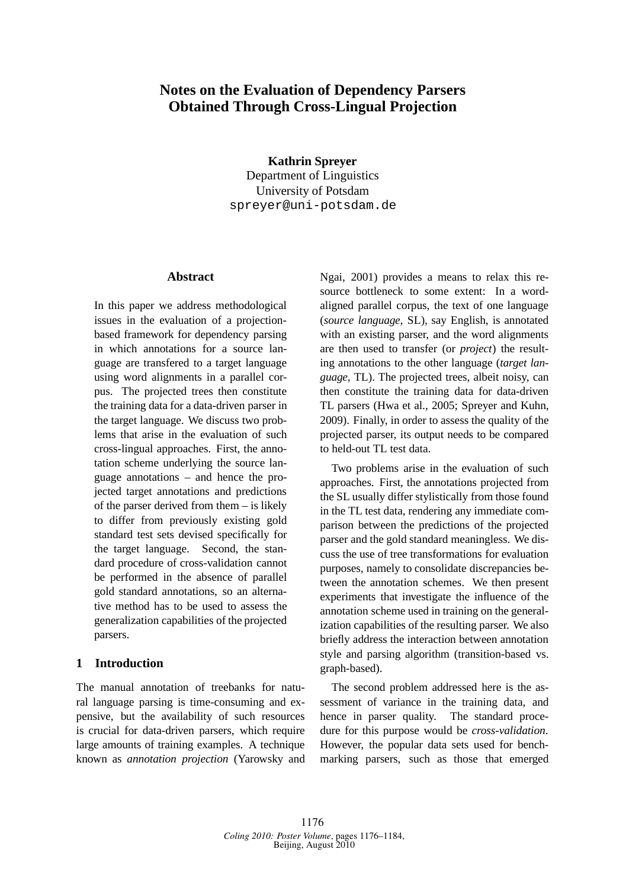# **Notes on the Evaluation of Dependency Parsers Obtained Through Cross-Lingual Projection**

**Kathrin Spreyer** Department of Linguistics University of Potsdam spreyer@uni-potsdam.de

# **Abstract**

In this paper we address methodological issues in the evaluation of a projectionbased framework for dependency parsing in which annotations for a source language are transfered to a target language using word alignments in a parallel corpus. The projected trees then constitute the training data for a data-driven parser in the target language. We discuss two problems that arise in the evaluation of such cross-lingual approaches. First, the annotation scheme underlying the source language annotations – and hence the projected target annotations and predictions of the parser derived from them – is likely to differ from previously existing gold standard test sets devised specifically for the target language. Second, the standard procedure of cross-validation cannot be performed in the absence of parallel gold standard annotations, so an alternative method has to be used to assess the generalization capabilities of the projected parsers.

# **1 Introduction**

The manual annotation of treebanks for natural language parsing is time-consuming and expensive, but the availability of such resources is crucial for data-driven parsers, which require large amounts of training examples. A technique known as *annotation projection* (Yarowsky and

Ngai, 2001) provides a means to relax this resource bottleneck to some extent: In a wordaligned parallel corpus, the text of one language (*source language,* SL), say English, is annotated with an existing parser, and the word alignments are then used to transfer (or *project*) the resulting annotations to the other language (*target language,* TL). The projected trees, albeit noisy, can then constitute the training data for data-driven TL parsers (Hwa et al., 2005; Spreyer and Kuhn, 2009). Finally, in order to assess the quality of the projected parser, its output needs to be compared to held-out TL test data.

Two problems arise in the evaluation of such approaches. First, the annotations projected from the SL usually differ stylistically from those found in the TL test data, rendering any immediate comparison between the predictions of the projected parser and the gold standard meaningless. We discuss the use of tree transformations for evaluation purposes, namely to consolidate discrepancies between the annotation schemes. We then present experiments that investigate the influence of the annotation scheme used in training on the generalization capabilities of the resulting parser. We also briefly address the interaction between annotation style and parsing algorithm (transition-based vs. graph-based).

The second problem addressed here is the assessment of variance in the training data, and hence in parser quality. The standard procedure for this purpose would be *cross-validation*. However, the popular data sets used for benchmarking parsers, such as those that emerged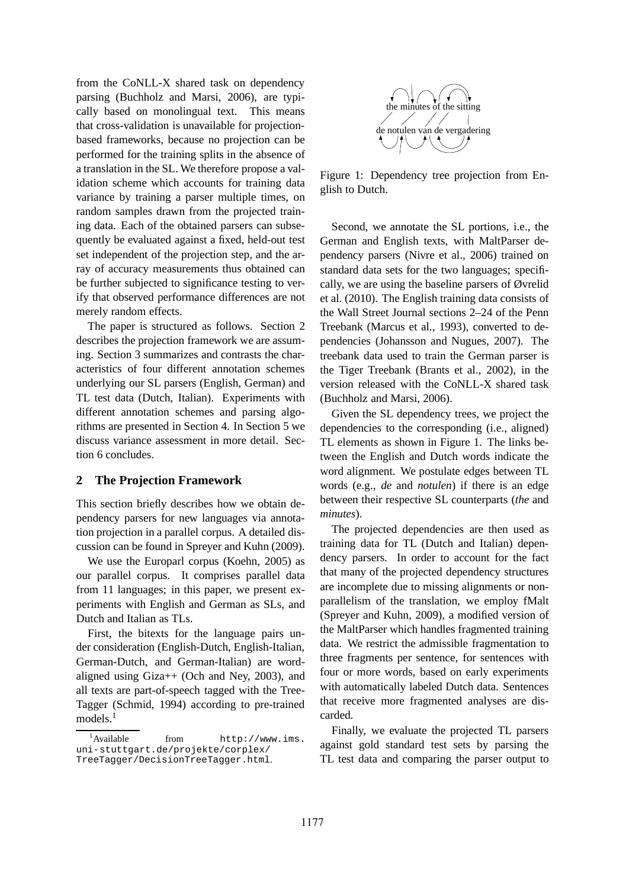from the CoNLL-X shared task on dependency parsing (Buchholz and Marsi, 2006), are typically based on monolingual text. This means that cross-validation is unavailable for projectionbased frameworks, because no projection can be performed for the training splits in the absence of a translation in the SL. We therefore propose a validation scheme which accounts for training data variance by training a parser multiple times, on random samples drawn from the projected training data. Each of the obtained parsers can subsequently be evaluated against a fixed, held-out test set independent of the projection step, and the array of accuracy measurements thus obtained can be further subjected to significance testing to verify that observed performance differences are not merely random effects.

The paper is structured as follows. Section 2 describes the projection framework we are assuming. Section 3 summarizes and contrasts the characteristics of four different annotation schemes underlying our SL parsers (English, German) and TL test data (Dutch, Italian). Experiments with different annotation schemes and parsing algorithms are presented in Section 4. In Section 5 we discuss variance assessment in more detail. Section 6 concludes.

# **2 The Projection Framework**

This section briefly describes how we obtain dependency parsers for new languages via annotation projection in a parallel corpus. A detailed discussion can be found in Spreyer and Kuhn (2009).

We use the Europarl corpus (Koehn, 2005) as our parallel corpus. It comprises parallel data from 11 languages; in this paper, we present experiments with English and German as SLs, and Dutch and Italian as TLs.

First, the bitexts for the language pairs under consideration (English-Dutch, English-Italian, German-Dutch, and German-Italian) are wordaligned using Giza++ (Och and Ney, 2003), and all texts are part-of-speech tagged with the Tree-Tagger (Schmid, 1994) according to pre-trained models.<sup>1</sup>



Figure 1: Dependency tree projection from English to Dutch.

Second, we annotate the SL portions, i.e., the German and English texts, with MaltParser dependency parsers (Nivre et al., 2006) trained on standard data sets for the two languages; specifically, we are using the baseline parsers of Øvrelid et al. (2010). The English training data consists of the Wall Street Journal sections 2–24 of the Penn Treebank (Marcus et al., 1993), converted to dependencies (Johansson and Nugues, 2007). The treebank data used to train the German parser is the Tiger Treebank (Brants et al., 2002), in the version released with the CoNLL-X shared task (Buchholz and Marsi, 2006).

Given the SL dependency trees, we project the dependencies to the corresponding (i.e., aligned) TL elements as shown in Figure 1. The links between the English and Dutch words indicate the word alignment. We postulate edges between TL words (e.g., *de* and *notulen*) if there is an edge between their respective SL counterparts (*the* and *minutes*).

The projected dependencies are then used as training data for TL (Dutch and Italian) dependency parsers. In order to account for the fact that many of the projected dependency structures are incomplete due to missing alignments or nonparallelism of the translation, we employ fMalt (Spreyer and Kuhn, 2009), a modified version of the MaltParser which handles fragmented training data. We restrict the admissible fragmentation to three fragments per sentence, for sentences with four or more words, based on early experiments with automatically labeled Dutch data. Sentences that receive more fragmented analyses are discarded.

Finally, we evaluate the projected TL parsers against gold standard test sets by parsing the TL test data and comparing the parser output to

<sup>&</sup>lt;sup>1</sup>Available from http://www.ims. uni-stuttgart.de/projekte/corplex/ TreeTagger/DecisionTreeTagger.html.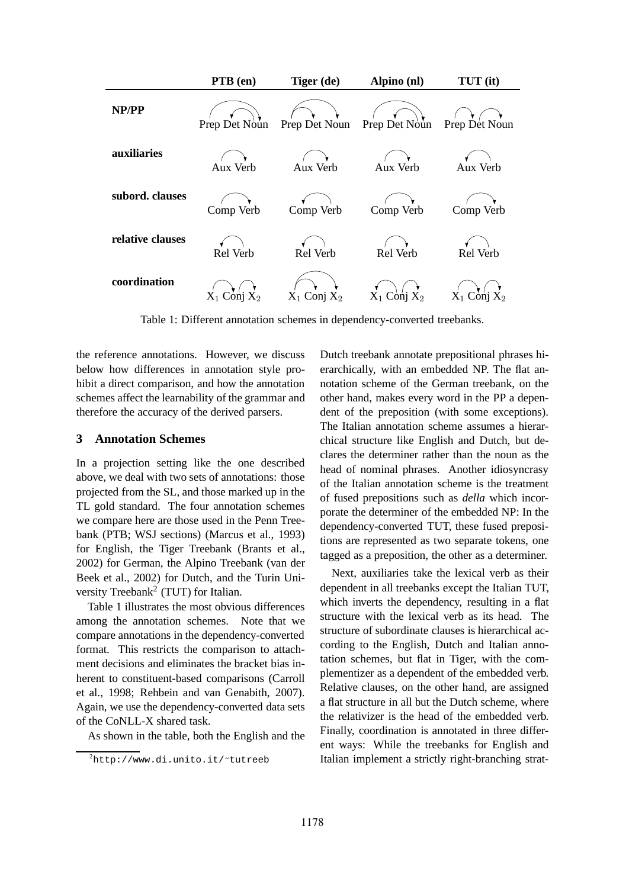

Table 1: Different annotation schemes in dependency-converted treebanks.

the reference annotations. However, we discuss below how differences in annotation style prohibit a direct comparison, and how the annotation schemes affect the learnability of the grammar and therefore the accuracy of the derived parsers.

## **3 Annotation Schemes**

In a projection setting like the one described above, we deal with two sets of annotations: those projected from the SL, and those marked up in the TL gold standard. The four annotation schemes we compare here are those used in the Penn Treebank (PTB; WSJ sections) (Marcus et al., 1993) for English, the Tiger Treebank (Brants et al., 2002) for German, the Alpino Treebank (van der Beek et al., 2002) for Dutch, and the Turin University Treebank<sup>2</sup> (TUT) for Italian.

Table 1 illustrates the most obvious differences among the annotation schemes. Note that we compare annotations in the dependency-converted format. This restricts the comparison to attachment decisions and eliminates the bracket bias inherent to constituent-based comparisons (Carroll et al., 1998; Rehbein and van Genabith, 2007). Again, we use the dependency-converted data sets of the CoNLL-X shared task.

As shown in the table, both the English and the

Dutch treebank annotate prepositional phrases hierarchically, with an embedded NP. The flat annotation scheme of the German treebank, on the other hand, makes every word in the PP a dependent of the preposition (with some exceptions). The Italian annotation scheme assumes a hierarchical structure like English and Dutch, but declares the determiner rather than the noun as the head of nominal phrases. Another idiosyncrasy of the Italian annotation scheme is the treatment of fused prepositions such as *della* which incorporate the determiner of the embedded NP: In the dependency-converted TUT, these fused prepositions are represented as two separate tokens, one tagged as a preposition, the other as a determiner.

Next, auxiliaries take the lexical verb as their dependent in all treebanks except the Italian TUT, which inverts the dependency, resulting in a flat structure with the lexical verb as its head. The structure of subordinate clauses is hierarchical according to the English, Dutch and Italian annotation schemes, but flat in Tiger, with the complementizer as a dependent of the embedded verb. Relative clauses, on the other hand, are assigned a flat structure in all but the Dutch scheme, where the relativizer is the head of the embedded verb. Finally, coordination is annotated in three different ways: While the treebanks for English and Italian implement a strictly right-branching strat-

 ${}^{2}$ http://www.di.unito.it/~tutreeb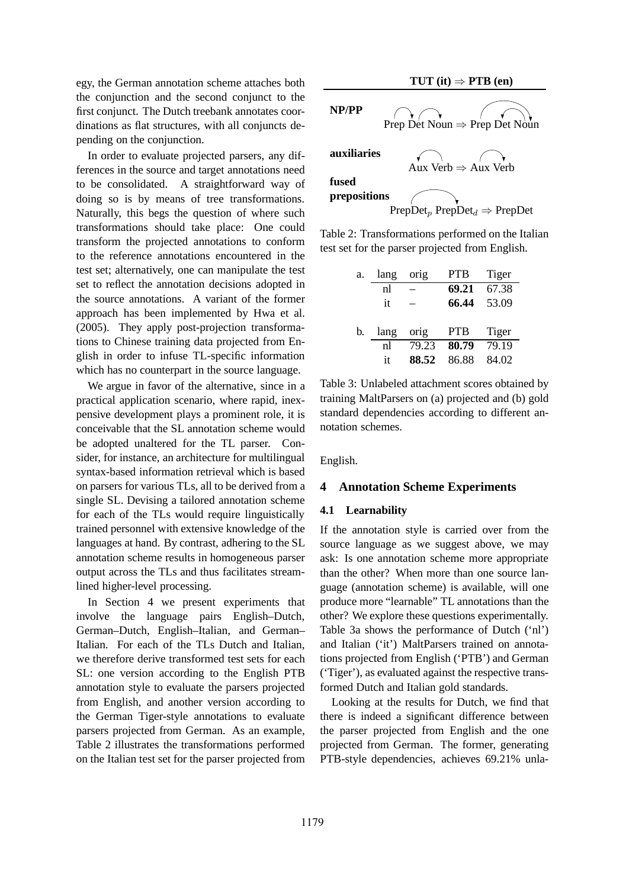egy, the German annotation scheme attaches both the conjunction and the second conjunct to the first conjunct. The Dutch treebank annotates coordinations as flat structures, with all conjuncts depending on the conjunction.

In order to evaluate projected parsers, any differences in the source and target annotations need to be consolidated. A straightforward way of doing so is by means of tree transformations. Naturally, this begs the question of where such transformations should take place: One could transform the projected annotations to conform to the reference annotations encountered in the test set; alternatively, one can manipulate the test set to reflect the annotation decisions adopted in the source annotations. A variant of the former approach has been implemented by Hwa et al. (2005). They apply post-projection transformations to Chinese training data projected from English in order to infuse TL-specific information which has no counterpart in the source language.

We argue in favor of the alternative, since in a practical application scenario, where rapid, inexpensive development plays a prominent role, it is conceivable that the SL annotation scheme would be adopted unaltered for the TL parser. Consider, for instance, an architecture for multilingual syntax-based information retrieval which is based on parsers for various TLs, all to be derived from a single SL. Devising a tailored annotation scheme for each of the TLs would require linguistically trained personnel with extensive knowledge of the languages at hand. By contrast, adhering to the SL annotation scheme results in homogeneous parser output across the TLs and thus facilitates streamlined higher-level processing.

In Section 4 we present experiments that involve the language pairs English–Dutch, German–Dutch, English–Italian, and German– Italian. For each of the TLs Dutch and Italian, we therefore derive transformed test sets for each SL: one version according to the English PTB annotation style to evaluate the parsers projected from English, and another version according to the German Tiger-style annotations to evaluate parsers projected from German. As an example, Table 2 illustrates the transformations performed on the Italian test set for the parser projected from



Table 2: Transformations performed on the Italian test set for the parser projected from English.

| a. | lang | orig  | <b>PTB</b> | Tiger |
|----|------|-------|------------|-------|
|    | nl   |       | 69.21      | 67.38 |
|    | it   |       | 66.44      | 53.09 |
|    |      |       |            |       |
| b. | lang | orig  | <b>PTB</b> | Tiger |
|    | nl   | 79.23 | 80.79      | 79.19 |
|    | it   | 88.52 | 86.88      | 84.02 |

Table 3: Unlabeled attachment scores obtained by training MaltParsers on (a) projected and (b) gold standard dependencies according to different annotation schemes.

English.

#### **4 Annotation Scheme Experiments**

#### **4.1 Learnability**

If the annotation style is carried over from the source language as we suggest above, we may ask: Is one annotation scheme more appropriate than the other? When more than one source language (annotation scheme) is available, will one produce more "learnable" TL annotations than the other? We explore these questions experimentally. Table 3a shows the performance of Dutch ('nl') and Italian ('it') MaltParsers trained on annotations projected from English ('PTB') and German ('Tiger'), as evaluated against the respective transformed Dutch and Italian gold standards.

Looking at the results for Dutch, we find that there is indeed a significant difference between the parser projected from English and the one projected from German. The former, generating PTB-style dependencies, achieves 69.21% unla-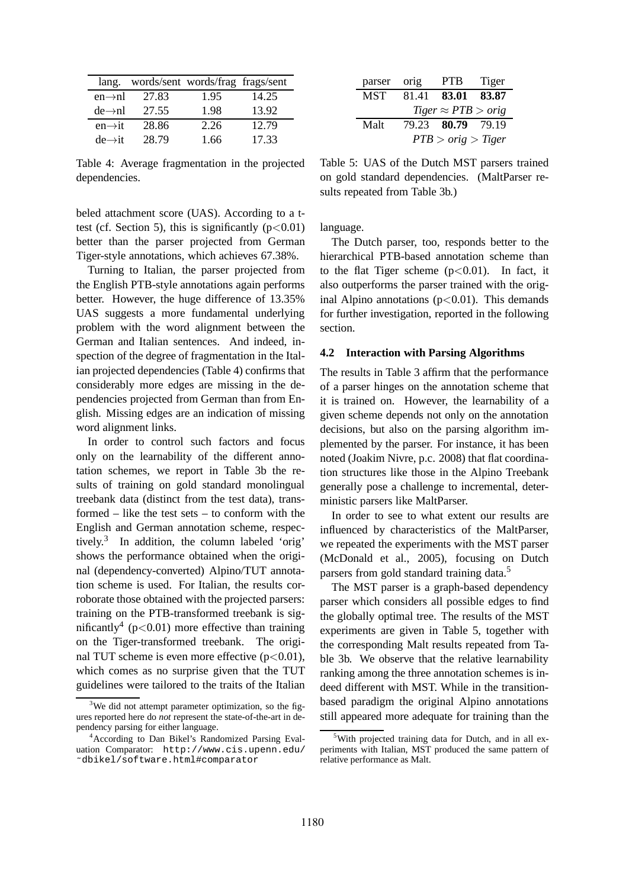| lang.               |       | words/sent words/frag frags/sent |       |
|---------------------|-------|----------------------------------|-------|
| $en \rightarrow nl$ | 27.83 | 1.95                             | 14.25 |
| $de \rightarrow nl$ | 27.55 | 1.98                             | 13.92 |
| $en \rightarrow it$ | 28.86 | 2.26                             | 12.79 |
| $de \rightarrow it$ | 28.79 | 1.66                             | 17.33 |

Table 4: Average fragmentation in the projected dependencies.

beled attachment score (UAS). According to a ttest (cf. Section 5), this is significantly  $(p<0.01)$ better than the parser projected from German Tiger-style annotations, which achieves 67.38%.

Turning to Italian, the parser projected from the English PTB-style annotations again performs better. However, the huge difference of 13.35% UAS suggests a more fundamental underlying problem with the word alignment between the German and Italian sentences. And indeed, inspection of the degree of fragmentation in the Italian projected dependencies (Table 4) confirms that considerably more edges are missing in the dependencies projected from German than from English. Missing edges are an indication of missing word alignment links.

In order to control such factors and focus only on the learnability of the different annotation schemes, we report in Table 3b the results of training on gold standard monolingual treebank data (distinct from the test data), transformed – like the test sets – to conform with the English and German annotation scheme, respectively.<sup>3</sup> In addition, the column labeled 'orig' shows the performance obtained when the original (dependency-converted) Alpino/TUT annotation scheme is used. For Italian, the results corroborate those obtained with the projected parsers: training on the PTB-transformed treebank is significantly<sup>4</sup> ( $p$ <0.01) more effective than training on the Tiger-transformed treebank. The original TUT scheme is even more effective  $(p<0.01)$ , which comes as no surprise given that the TUT guidelines were tailored to the traits of the Italian

| parser             | orig  | <b>PTB</b>                 | Tiger |
|--------------------|-------|----------------------------|-------|
| <b>MST</b>         | 81.41 | 83.01                      | 83.87 |
|                    |       | $Tiger \approx PTB > orig$ |       |
| Malt               |       | 79.23 80.79 79.19          |       |
| PTB > orig > Tiger |       |                            |       |

Table 5: UAS of the Dutch MST parsers trained on gold standard dependencies. (MaltParser results repeated from Table 3b.)

language.

The Dutch parser, too, responds better to the hierarchical PTB-based annotation scheme than to the flat Tiger scheme  $(p<0.01)$ . In fact, it also outperforms the parser trained with the original Alpino annotations  $(p<0.01)$ . This demands for further investigation, reported in the following section.

#### **4.2 Interaction with Parsing Algorithms**

The results in Table 3 affirm that the performance of a parser hinges on the annotation scheme that it is trained on. However, the learnability of a given scheme depends not only on the annotation decisions, but also on the parsing algorithm implemented by the parser. For instance, it has been noted (Joakim Nivre, p.c. 2008) that flat coordination structures like those in the Alpino Treebank generally pose a challenge to incremental, deterministic parsers like MaltParser.

In order to see to what extent our results are influenced by characteristics of the MaltParser, we repeated the experiments with the MST parser (McDonald et al., 2005), focusing on Dutch parsers from gold standard training data.<sup>5</sup>

The MST parser is a graph-based dependency parser which considers all possible edges to find the globally optimal tree. The results of the MST experiments are given in Table 5, together with the corresponding Malt results repeated from Table 3b. We observe that the relative learnability ranking among the three annotation schemes is indeed different with MST. While in the transitionbased paradigm the original Alpino annotations still appeared more adequate for training than the

<sup>&</sup>lt;sup>3</sup>We did not attempt parameter optimization, so the figures reported here do *not* represent the state-of-the-art in dependency parsing for either language.

<sup>4</sup>According to Dan Bikel's Randomized Parsing Evaluation Comparator: http://www.cis.upenn.edu/ ˜dbikel/software.html#comparator

<sup>5</sup>With projected training data for Dutch, and in all experiments with Italian, MST produced the same pattern of relative performance as Malt.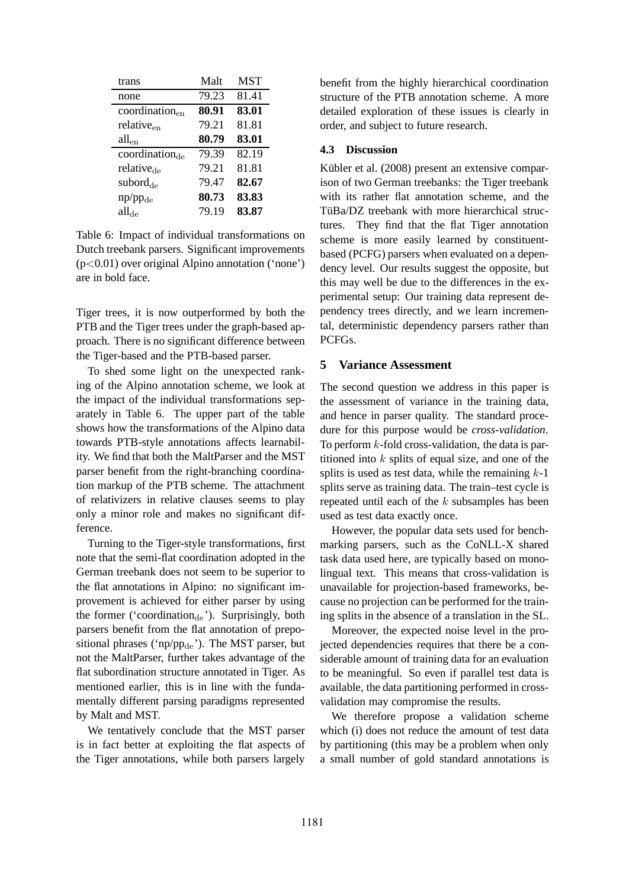| trans                      | Malt  | <b>MST</b> |
|----------------------------|-------|------------|
| none                       | 79.23 | 81.41      |
| coordination <sub>en</sub> | 80.91 | 83.01      |
| relative <sub>en</sub>     | 79.21 | 81.81      |
| $all_{en}$                 | 80.79 | 83.01      |
| $coordination_{de}$        | 79.39 | 82.19      |
| relative <sub>de</sub>     | 79.21 | 81.81      |
| $subord_{de}$              | 79.47 | 82.67      |
| $np/pp_{de}$               | 80.73 | 83.83      |
| all <sub>de</sub>          | 79.19 | 83.87      |

Table 6: Impact of individual transformations on Dutch treebank parsers. Significant improvements (p<0.01) over original Alpino annotation ('none') are in bold face.

Tiger trees, it is now outperformed by both the PTB and the Tiger trees under the graph-based approach. There is no significant difference between the Tiger-based and the PTB-based parser.

To shed some light on the unexpected ranking of the Alpino annotation scheme, we look at the impact of the individual transformations separately in Table 6. The upper part of the table shows how the transformations of the Alpino data towards PTB-style annotations affects learnability. We find that both the MaltParser and the MST parser benefit from the right-branching coordination markup of the PTB scheme. The attachment of relativizers in relative clauses seems to play only a minor role and makes no significant difference.

Turning to the Tiger-style transformations, first note that the semi-flat coordination adopted in the German treebank does not seem to be superior to the flat annotations in Alpino: no significant improvement is achieved for either parser by using the former ('coordination<sub>de</sub>'). Surprisingly, both parsers benefit from the flat annotation of prepositional phrases ('np/pp $_{de}$ '). The MST parser, but not the MaltParser, further takes advantage of the flat subordination structure annotated in Tiger. As mentioned earlier, this is in line with the fundamentally different parsing paradigms represented by Malt and MST.

We tentatively conclude that the MST parser is in fact better at exploiting the flat aspects of the Tiger annotations, while both parsers largely

benefit from the highly hierarchical coordination structure of the PTB annotation scheme. A more detailed exploration of these issues is clearly in order, and subject to future research.

#### **4.3 Discussion**

Kübler et al. (2008) present an extensive comparison of two German treebanks: the Tiger treebank with its rather flat annotation scheme, and the TüBa/DZ treebank with more hierarchical structures. They find that the flat Tiger annotation scheme is more easily learned by constituentbased (PCFG) parsers when evaluated on a dependency level. Our results suggest the opposite, but this may well be due to the differences in the experimental setup: Our training data represent dependency trees directly, and we learn incremental, deterministic dependency parsers rather than PCFGs.

# **5 Variance Assessment**

The second question we address in this paper is the assessment of variance in the training data, and hence in parser quality. The standard procedure for this purpose would be *cross-validation*. To perform  $k$ -fold cross-validation, the data is partitioned into  $k$  splits of equal size, and one of the splits is used as test data, while the remaining  $k-1$ splits serve as training data. The train–test cycle is repeated until each of the  $k$  subsamples has been used as test data exactly once.

However, the popular data sets used for benchmarking parsers, such as the CoNLL-X shared task data used here, are typically based on monolingual text. This means that cross-validation is unavailable for projection-based frameworks, because no projection can be performed for the training splits in the absence of a translation in the SL.

Moreover, the expected noise level in the projected dependencies requires that there be a considerable amount of training data for an evaluation to be meaningful. So even if parallel test data is available, the data partitioning performed in crossvalidation may compromise the results.

We therefore propose a validation scheme which (i) does not reduce the amount of test data by partitioning (this may be a problem when only a small number of gold standard annotations is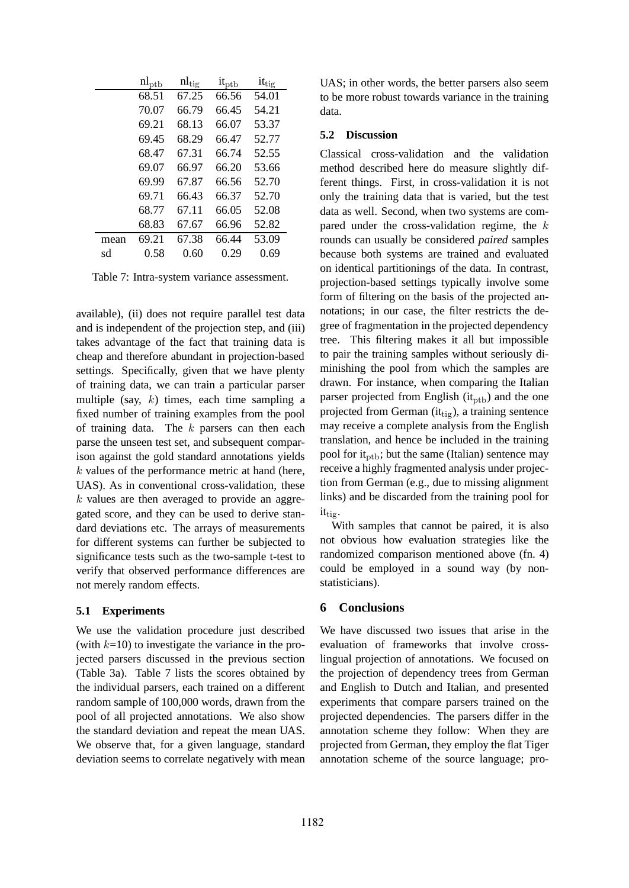|      | $\rm nl_{ptb}$ | $nl_{\text{tig}}$ | $it_{ptb}$ | it <sub>tig</sub> |
|------|----------------|-------------------|------------|-------------------|
|      | 68.51          | 67.25             | 66.56      | 54.01             |
|      | 70.07          | 66.79             | 66.45      | 54.21             |
|      | 69.21          | 68.13             | 66.07      | 53.37             |
|      | 69.45          | 68.29             | 66.47      | 52.77             |
|      | 68.47          | 67.31             | 66.74      | 52.55             |
|      | 69.07          | 66.97             | 66.20      | 53.66             |
|      | 69.99          | 67.87             | 66.56      | 52.70             |
|      | 69.71          | 66.43             | 66.37      | 52.70             |
|      | 68.77          | 67.11             | 66.05      | 52.08             |
|      | 68.83          | 67.67             | 66.96      | 52.82             |
| mean | 69.21          | 67.38             | 66.44      | 53.09             |
| sd   | 0.58           | 0.60              | 0.29       | 0.69              |

Table 7: Intra-system variance assessment.

available), (ii) does not require parallel test data and is independent of the projection step, and (iii) takes advantage of the fact that training data is cheap and therefore abundant in projection-based settings. Specifically, given that we have plenty of training data, we can train a particular parser multiple (say,  $k$ ) times, each time sampling a fixed number of training examples from the pool of training data. The  $k$  parsers can then each parse the unseen test set, and subsequent comparison against the gold standard annotations yields  $k$  values of the performance metric at hand (here, UAS). As in conventional cross-validation, these  $k$  values are then averaged to provide an aggregated score, and they can be used to derive standard deviations etc. The arrays of measurements for different systems can further be subjected to significance tests such as the two-sample t-test to verify that observed performance differences are not merely random effects.

#### **5.1 Experiments**

We use the validation procedure just described (with  $k=10$ ) to investigate the variance in the projected parsers discussed in the previous section (Table 3a). Table 7 lists the scores obtained by the individual parsers, each trained on a different random sample of 100,000 words, drawn from the pool of all projected annotations. We also show the standard deviation and repeat the mean UAS. We observe that, for a given language, standard deviation seems to correlate negatively with mean UAS; in other words, the better parsers also seem to be more robust towards variance in the training data.

# **5.2 Discussion**

Classical cross-validation and the validation method described here do measure slightly different things. First, in cross-validation it is not only the training data that is varied, but the test data as well. Second, when two systems are compared under the cross-validation regime, the  $k$ rounds can usually be considered *paired* samples because both systems are trained and evaluated on identical partitionings of the data. In contrast, projection-based settings typically involve some form of filtering on the basis of the projected annotations; in our case, the filter restricts the degree of fragmentation in the projected dependency tree. This filtering makes it all but impossible to pair the training samples without seriously diminishing the pool from which the samples are drawn. For instance, when comparing the Italian parser projected from English (it<sub>ptb</sub>) and the one projected from German  $(it_{\text{tig}})$ , a training sentence may receive a complete analysis from the English translation, and hence be included in the training pool for it<sub>ptb</sub>; but the same (Italian) sentence may receive a highly fragmented analysis under projection from German (e.g., due to missing alignment links) and be discarded from the training pool for  $it_{\text{tig}}$ .

With samples that cannot be paired, it is also not obvious how evaluation strategies like the randomized comparison mentioned above (fn. 4) could be employed in a sound way (by nonstatisticians).

# **6 Conclusions**

We have discussed two issues that arise in the evaluation of frameworks that involve crosslingual projection of annotations. We focused on the projection of dependency trees from German and English to Dutch and Italian, and presented experiments that compare parsers trained on the projected dependencies. The parsers differ in the annotation scheme they follow: When they are projected from German, they employ the flat Tiger annotation scheme of the source language; pro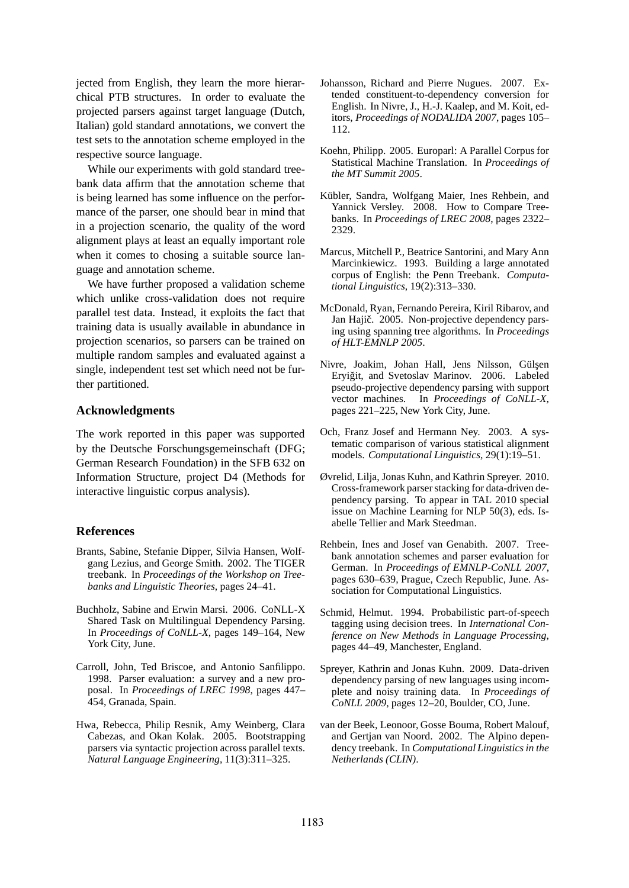jected from English, they learn the more hierarchical PTB structures. In order to evaluate the projected parsers against target language (Dutch, Italian) gold standard annotations, we convert the test sets to the annotation scheme employed in the respective source language.

While our experiments with gold standard treebank data affirm that the annotation scheme that is being learned has some influence on the performance of the parser, one should bear in mind that in a projection scenario, the quality of the word alignment plays at least an equally important role when it comes to chosing a suitable source language and annotation scheme.

We have further proposed a validation scheme which unlike cross-validation does not require parallel test data. Instead, it exploits the fact that training data is usually available in abundance in projection scenarios, so parsers can be trained on multiple random samples and evaluated against a single, independent test set which need not be further partitioned.

## **Acknowledgments**

The work reported in this paper was supported by the Deutsche Forschungsgemeinschaft (DFG; German Research Foundation) in the SFB 632 on Information Structure, project D4 (Methods for interactive linguistic corpus analysis).

# **References**

- Brants, Sabine, Stefanie Dipper, Silvia Hansen, Wolfgang Lezius, and George Smith. 2002. The TIGER treebank. In *Proceedings of the Workshop on Treebanks and Linguistic Theories*, pages 24–41.
- Buchholz, Sabine and Erwin Marsi. 2006. CoNLL-X Shared Task on Multilingual Dependency Parsing. In *Proceedings of CoNLL-X*, pages 149–164, New York City, June.
- Carroll, John, Ted Briscoe, and Antonio Sanfilippo. 1998. Parser evaluation: a survey and a new proposal. In *Proceedings of LREC 1998*, pages 447– 454, Granada, Spain.
- Hwa, Rebecca, Philip Resnik, Amy Weinberg, Clara Cabezas, and Okan Kolak. 2005. Bootstrapping parsers via syntactic projection across parallel texts. *Natural Language Engineering*, 11(3):311–325.
- Johansson, Richard and Pierre Nugues. 2007. Extended constituent-to-dependency conversion for English. In Nivre, J., H.-J. Kaalep, and M. Koit, editors, *Proceedings of NODALIDA 2007*, pages 105– 112.
- Koehn, Philipp. 2005. Europarl: A Parallel Corpus for Statistical Machine Translation. In *Proceedings of the MT Summit 2005*.
- Kübler, Sandra, Wolfgang Maier, Ines Rehbein, and Yannick Versley. 2008. How to Compare Treebanks. In *Proceedings of LREC 2008*, pages 2322– 2329.
- Marcus, Mitchell P., Beatrice Santorini, and Mary Ann Marcinkiewicz. 1993. Building a large annotated corpus of English: the Penn Treebank. *Computational Linguistics*, 19(2):313–330.
- McDonald, Ryan, Fernando Pereira, Kiril Ribarov, and Jan Hajič. 2005. Non-projective dependency parsing using spanning tree algorithms. In *Proceedings of HLT-EMNLP 2005*.
- Nivre, Joakim, Johan Hall, Jens Nilsson, Gülsen Eryiğit, and Svetoslav Marinov. 2006. Labeled pseudo-projective dependency parsing with support vector machines. In *Proceedings of CoNLL-X*, pages 221–225, New York City, June.
- Och, Franz Josef and Hermann Ney. 2003. A systematic comparison of various statistical alignment models. *Computational Linguistics*, 29(1):19–51.
- Øvrelid, Lilja, Jonas Kuhn, and Kathrin Spreyer. 2010. Cross-framework parser stacking for data-driven dependency parsing. To appear in TAL 2010 special issue on Machine Learning for NLP 50(3), eds. Isabelle Tellier and Mark Steedman.
- Rehbein, Ines and Josef van Genabith. 2007. Treebank annotation schemes and parser evaluation for German. In *Proceedings of EMNLP-CoNLL 2007*, pages 630–639, Prague, Czech Republic, June. Association for Computational Linguistics.
- Schmid, Helmut. 1994. Probabilistic part-of-speech tagging using decision trees. In *International Conference on New Methods in Language Processing*, pages 44–49, Manchester, England.
- Spreyer, Kathrin and Jonas Kuhn. 2009. Data-driven dependency parsing of new languages using incomplete and noisy training data. In *Proceedings of CoNLL 2009*, pages 12–20, Boulder, CO, June.
- van der Beek, Leonoor, Gosse Bouma, Robert Malouf, and Gertjan van Noord. 2002. The Alpino dependency treebank. In *Computational Linguistics in the Netherlands (CLIN)*.